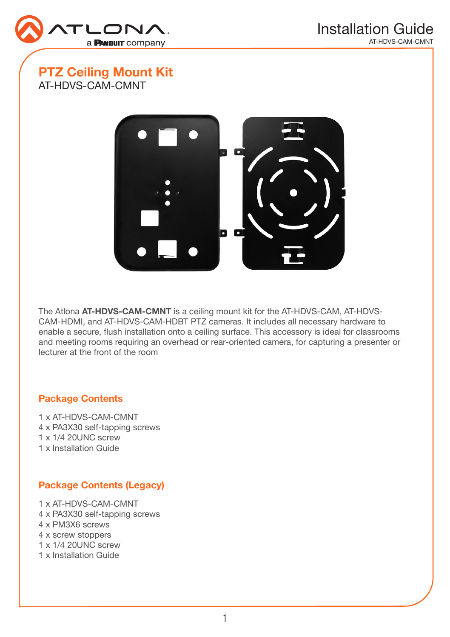

# PTZ Ceiling Mount Kit AT-HDVS-CAM-CMNT



The Atlona AT-HDVS-CAM-CMNT is a ceiling mount kit for the AT-HDVS-CAM, AT-HDVS-CAM-HDMI, and AT-HDVS-CAM-HDBT PTZ cameras. It includes all necessary hardware to enable a secure, flush installation onto a ceiling surface. This accessory is ideal for classrooms and meeting rooms requiring an overhead or rear-oriented camera, for capturing a presenter or lecturer at the front of the room

#### Package Contents

1 x AT-HDVS-CAM-CMNT 4 x PA3X30 self-tapping screws 1 x 1/4 20UNC screw 1 x Installation Guide

## Package Contents (Legacy)

- 1 x AT-HDVS-CAM-CMNT 4 x PA3X30 self-tapping screws 4 x PM3X6 screws 4 x screw stoppers 1 x 1/4 20UNC screw
- 1 x Installation Guide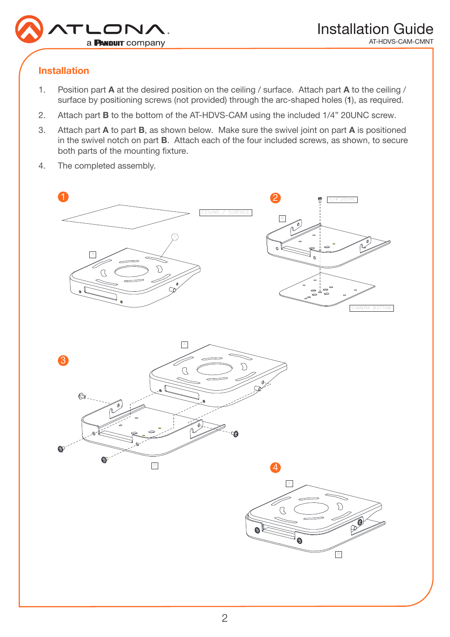

## Installation

- 1. Position part A at the desired position on the ceiling / surface. Attach part A to the ceiling / surface by positioning screws (not provided) through the arc-shaped holes (1), as required.
- 2. Attach part B to the bottom of the AT-HDVS-CAM using the included 1/4" 20UNC screw.
- 3. Attach part A to part B, as shown below. Make sure the swivel joint on part A is positioned in the swivel notch on part B. Attach each of the four included screws, as shown, to secure both parts of the mounting fixture.
- 4. The completed assembly.





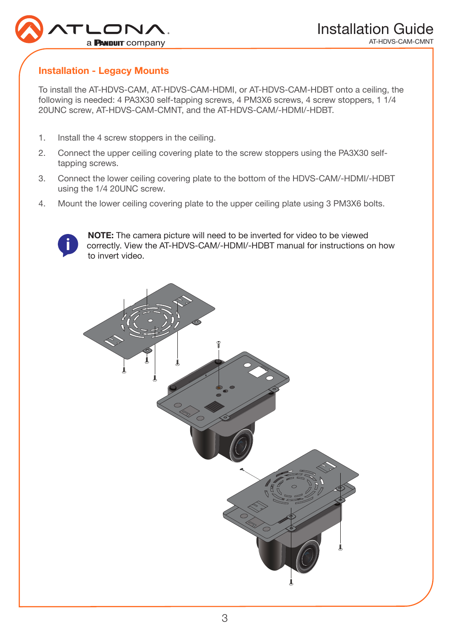

#### Installation - Legacy Mounts

To install the AT-HDVS-CAM, AT-HDVS-CAM-HDMI, or AT-HDVS-CAM-HDBT onto a ceiling, the following is needed: 4 PA3X30 self-tapping screws, 4 PM3X6 screws, 4 screw stoppers, 1 1/4 20UNC screw, AT-HDVS-CAM-CMNT, and the AT-HDVS-CAM/-HDMI/-HDBT.

- 1. Install the 4 screw stoppers in the ceiling.
- 2. Connect the upper ceiling covering plate to the screw stoppers using the PA3X30 selftapping screws.
- 3. Connect the lower ceiling covering plate to the bottom of the HDVS-CAM/-HDMI/-HDBT using the 1/4 20UNC screw.
- 4. Mount the lower ceiling covering plate to the upper ceiling plate using 3 PM3X6 bolts.



NOTE: The camera picture will need to be inverted for video to be viewed correctly. View the AT-HDVS-CAM/-HDMI/-HDBT manual for instructions on how to invert video.